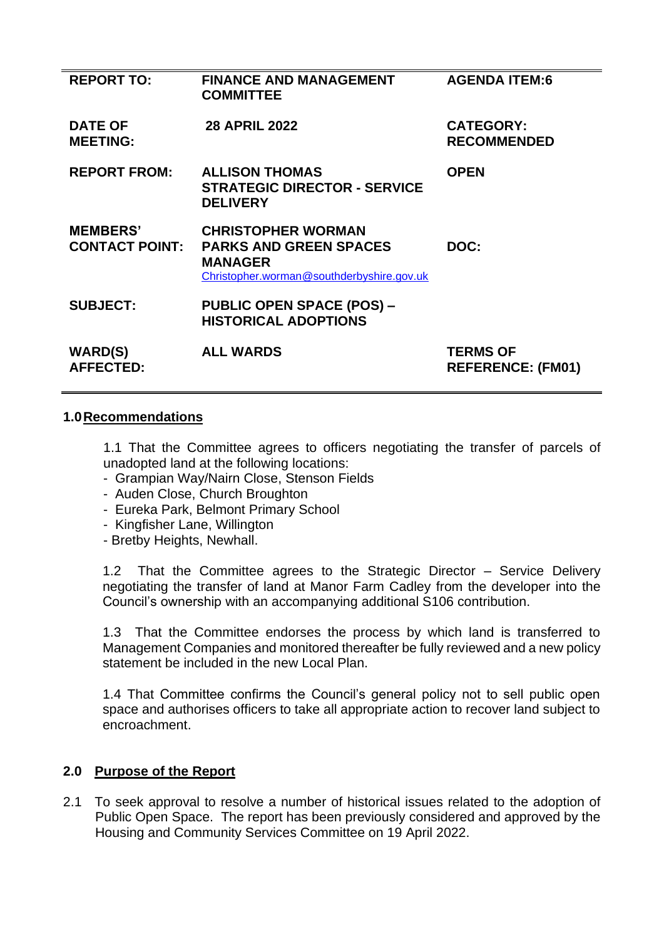| <b>REPORT TO:</b>                        | <b>FINANCE AND MANAGEMENT</b><br><b>COMMITTEE</b>                                                                         | <b>AGENDA ITEM:6</b>                        |
|------------------------------------------|---------------------------------------------------------------------------------------------------------------------------|---------------------------------------------|
| <b>DATE OF</b><br><b>MEETING:</b>        | <b>28 APRIL 2022</b>                                                                                                      | <b>CATEGORY:</b><br><b>RECOMMENDED</b>      |
| <b>REPORT FROM:</b>                      | <b>ALLISON THOMAS</b><br><b>STRATEGIC DIRECTOR - SERVICE</b><br><b>DELIVERY</b>                                           | <b>OPEN</b>                                 |
| <b>MEMBERS'</b><br><b>CONTACT POINT:</b> | <b>CHRISTOPHER WORMAN</b><br><b>PARKS AND GREEN SPACES</b><br><b>MANAGER</b><br>Christopher.worman@southderbyshire.gov.uk | DOC:                                        |
| <b>SUBJECT:</b>                          | <b>PUBLIC OPEN SPACE (POS) -</b><br><b>HISTORICAL ADOPTIONS</b>                                                           |                                             |
| <b>WARD(S)</b><br><b>AFFECTED:</b>       | <b>ALL WARDS</b>                                                                                                          | <b>TERMS OF</b><br><b>REFERENCE: (FM01)</b> |

#### **1.0Recommendations**

1.1 That the Committee agrees to officers negotiating the transfer of parcels of unadopted land at the following locations:

- Grampian Way/Nairn Close, Stenson Fields
- Auden Close, Church Broughton
- Eureka Park, Belmont Primary School
- Kingfisher Lane, Willington
- Bretby Heights, Newhall.

1.2 That the Committee agrees to the Strategic Director – Service Delivery negotiating the transfer of land at Manor Farm Cadley from the developer into the Council's ownership with an accompanying additional S106 contribution.

1.3That the Committee endorses the process by which land is transferred to Management Companies and monitored thereafter be fully reviewed and a new policy statement be included in the new Local Plan.

1.4 That Committee confirms the Council's general policy not to sell public open space and authorises officers to take all appropriate action to recover land subject to encroachment.

## **2.0 Purpose of the Report**

2.1 To seek approval to resolve a number of historical issues related to the adoption of Public Open Space. The report has been previously considered and approved by the Housing and Community Services Committee on 19 April 2022.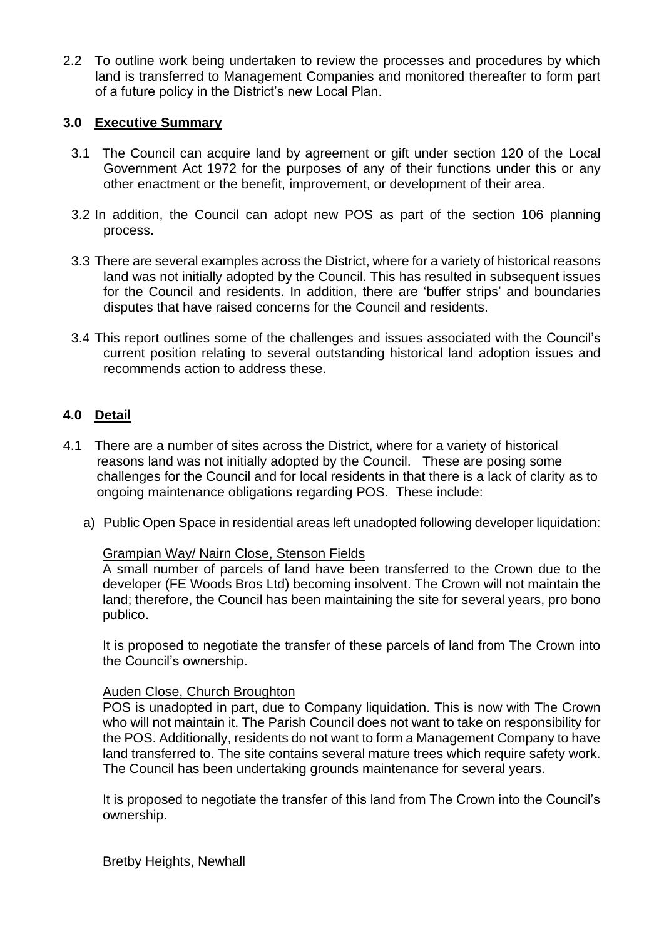2.2 To outline work being undertaken to review the processes and procedures by which land is transferred to Management Companies and monitored thereafter to form part of a future policy in the District's new Local Plan.

## **3.0 Executive Summary**

- 3.1 The Council can acquire land by agreement or gift under section 120 of the Local Government Act 1972 for the purposes of any of their functions under this or any other enactment or the benefit, improvement, or development of their area.
- 3.2 In addition, the Council can adopt new POS as part of the section 106 planning process.
- 3.3 There are several examples across the District, where for a variety of historical reasons land was not initially adopted by the Council. This has resulted in subsequent issues for the Council and residents. In addition, there are 'buffer strips' and boundaries disputes that have raised concerns for the Council and residents.
- 3.4 This report outlines some of the challenges and issues associated with the Council's current position relating to several outstanding historical land adoption issues and recommends action to address these.

# **4.0 Detail**

- 4.1 There are a number of sites across the District, where for a variety of historical reasons land was not initially adopted by the Council. These are posing some challenges for the Council and for local residents in that there is a lack of clarity as to ongoing maintenance obligations regarding POS. These include:
	- a) Public Open Space in residential areas left unadopted following developer liquidation:

## Grampian Way/ Nairn Close, Stenson Fields

A small number of parcels of land have been transferred to the Crown due to the developer (FE Woods Bros Ltd) becoming insolvent. The Crown will not maintain the land; therefore, the Council has been maintaining the site for several years, pro bono publico.

It is proposed to negotiate the transfer of these parcels of land from The Crown into the Council's ownership.

## Auden Close, Church Broughton

POS is unadopted in part, due to Company liquidation. This is now with The Crown who will not maintain it. The Parish Council does not want to take on responsibility for the POS. Additionally, residents do not want to form a Management Company to have land transferred to. The site contains several mature trees which require safety work. The Council has been undertaking grounds maintenance for several years.

It is proposed to negotiate the transfer of this land from The Crown into the Council's ownership.

## Bretby Heights, Newhall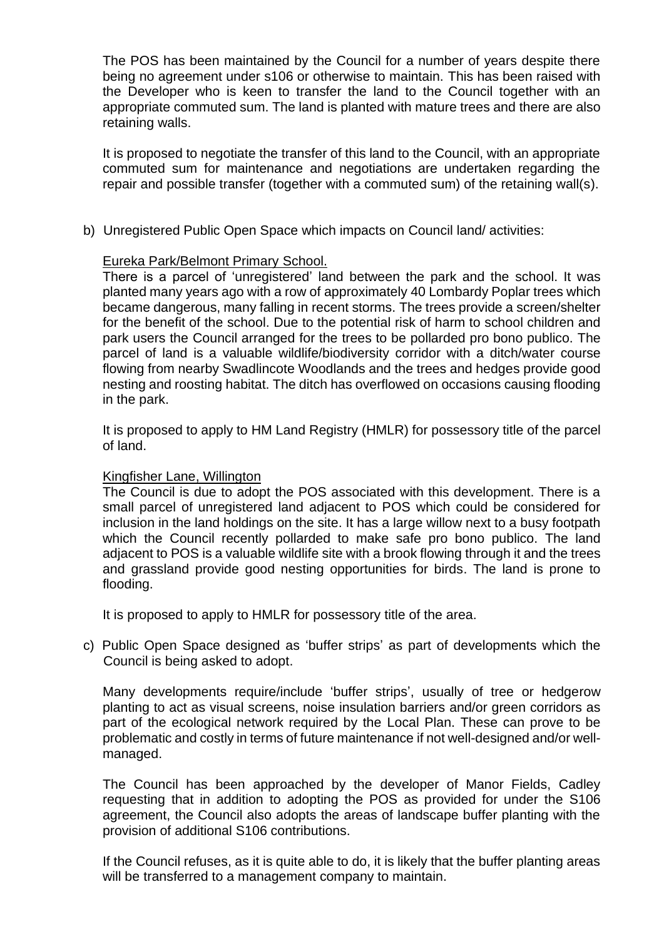The POS has been maintained by the Council for a number of years despite there being no agreement under s106 or otherwise to maintain. This has been raised with the Developer who is keen to transfer the land to the Council together with an appropriate commuted sum. The land is planted with mature trees and there are also retaining walls.

It is proposed to negotiate the transfer of this land to the Council, with an appropriate commuted sum for maintenance and negotiations are undertaken regarding the repair and possible transfer (together with a commuted sum) of the retaining wall(s).

b) Unregistered Public Open Space which impacts on Council land/ activities:

#### Eureka Park/Belmont Primary School.

There is a parcel of 'unregistered' land between the park and the school. It was planted many years ago with a row of approximately 40 Lombardy Poplar trees which became dangerous, many falling in recent storms. The trees provide a screen/shelter for the benefit of the school. Due to the potential risk of harm to school children and park users the Council arranged for the trees to be pollarded pro bono publico. The parcel of land is a valuable wildlife/biodiversity corridor with a ditch/water course flowing from nearby Swadlincote Woodlands and the trees and hedges provide good nesting and roosting habitat. The ditch has overflowed on occasions causing flooding in the park.

It is proposed to apply to HM Land Registry (HMLR) for possessory title of the parcel of land.

#### Kingfisher Lane, Willington

The Council is due to adopt the POS associated with this development. There is a small parcel of unregistered land adjacent to POS which could be considered for inclusion in the land holdings on the site. It has a large willow next to a busy footpath which the Council recently pollarded to make safe pro bono publico. The land adjacent to POS is a valuable wildlife site with a brook flowing through it and the trees and grassland provide good nesting opportunities for birds. The land is prone to flooding.

It is proposed to apply to HMLR for possessory title of the area.

c) Public Open Space designed as 'buffer strips' as part of developments which the Council is being asked to adopt.

Many developments require/include 'buffer strips', usually of tree or hedgerow planting to act as visual screens, noise insulation barriers and/or green corridors as part of the ecological network required by the Local Plan. These can prove to be problematic and costly in terms of future maintenance if not well-designed and/or wellmanaged.

The Council has been approached by the developer of Manor Fields, Cadley requesting that in addition to adopting the POS as provided for under the S106 agreement, the Council also adopts the areas of landscape buffer planting with the provision of additional S106 contributions.

If the Council refuses, as it is quite able to do, it is likely that the buffer planting areas will be transferred to a management company to maintain.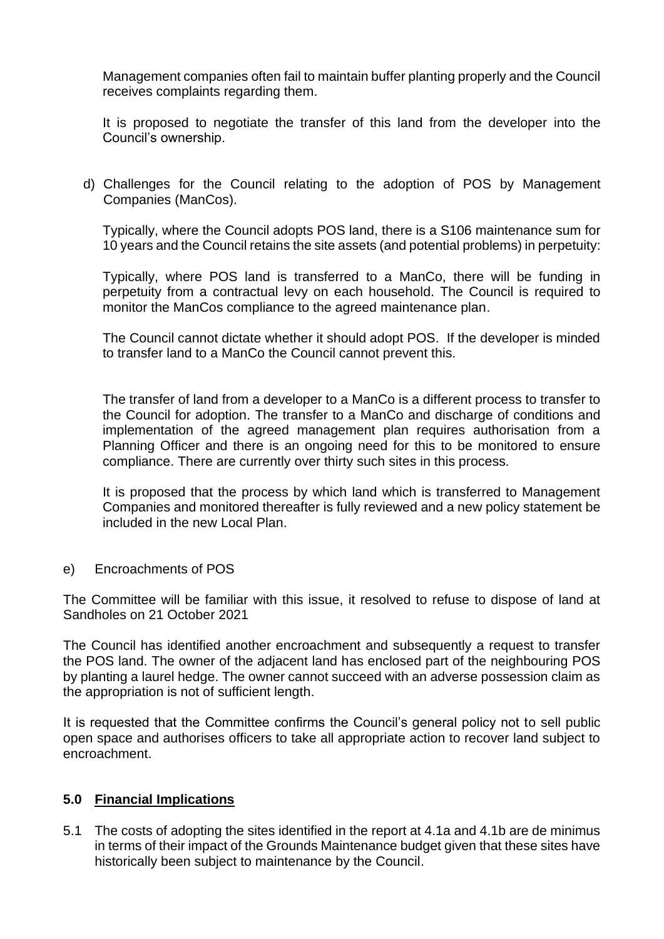Management companies often fail to maintain buffer planting properly and the Council receives complaints regarding them.

It is proposed to negotiate the transfer of this land from the developer into the Council's ownership.

d) Challenges for the Council relating to the adoption of POS by Management Companies (ManCos).

Typically, where the Council adopts POS land, there is a S106 maintenance sum for 10 years and the Council retains the site assets (and potential problems) in perpetuity:

Typically, where POS land is transferred to a ManCo, there will be funding in perpetuity from a contractual levy on each household. The Council is required to monitor the ManCos compliance to the agreed maintenance plan.

The Council cannot dictate whether it should adopt POS. If the developer is minded to transfer land to a ManCo the Council cannot prevent this.

The transfer of land from a developer to a ManCo is a different process to transfer to the Council for adoption. The transfer to a ManCo and discharge of conditions and implementation of the agreed management plan requires authorisation from a Planning Officer and there is an ongoing need for this to be monitored to ensure compliance. There are currently over thirty such sites in this process.

It is proposed that the process by which land which is transferred to Management Companies and monitored thereafter is fully reviewed and a new policy statement be included in the new Local Plan.

e) Encroachments of POS

The Committee will be familiar with this issue, it resolved to refuse to dispose of land at Sandholes on 21 October 2021

The Council has identified another encroachment and subsequently a request to transfer the POS land. The owner of the adjacent land has enclosed part of the neighbouring POS by planting a laurel hedge. The owner cannot succeed with an adverse possession claim as the appropriation is not of sufficient length.

It is requested that the Committee confirms the Council's general policy not to sell public open space and authorises officers to take all appropriate action to recover land subject to encroachment.

## **5.0 Financial Implications**

5.1 The costs of adopting the sites identified in the report at 4.1a and 4.1b are de minimus in terms of their impact of the Grounds Maintenance budget given that these sites have historically been subject to maintenance by the Council.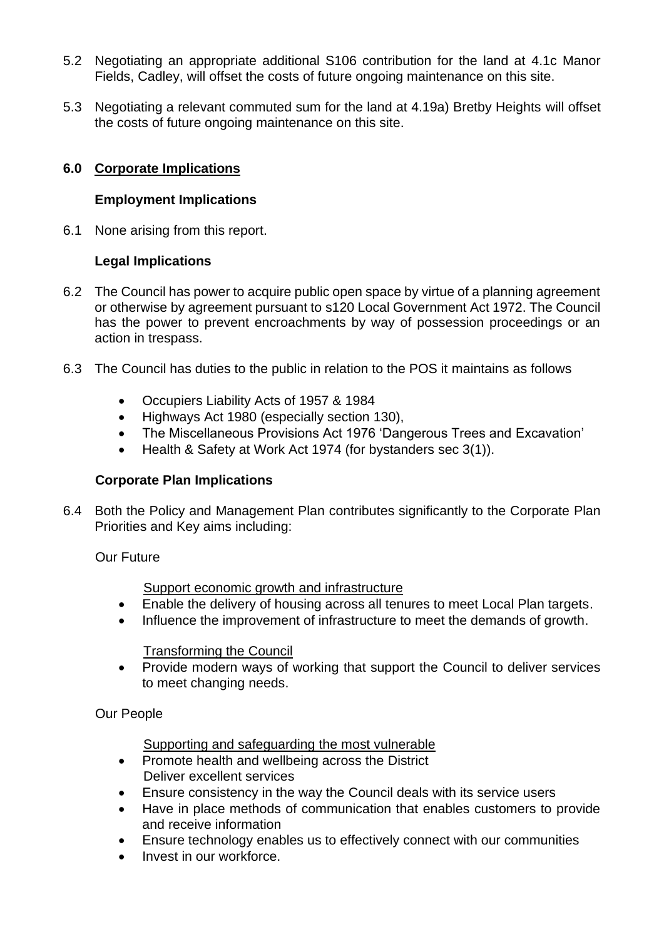- 5.2 Negotiating an appropriate additional S106 contribution for the land at 4.1c Manor Fields, Cadley, will offset the costs of future ongoing maintenance on this site.
- 5.3 Negotiating a relevant commuted sum for the land at 4.19a) Bretby Heights will offset the costs of future ongoing maintenance on this site.

## **6.0 Corporate Implications**

## **Employment Implications**

6.1 None arising from this report.

## **Legal Implications**

- 6.2 The Council has power to acquire public open space by virtue of a planning agreement or otherwise by agreement pursuant to s120 Local Government Act 1972. The Council has the power to prevent encroachments by way of possession proceedings or an action in trespass.
- 6.3 The Council has duties to the public in relation to the POS it maintains as follows
	- Occupiers Liability Acts of 1957 & 1984
	- Highways Act 1980 (especially section 130),
	- The Miscellaneous Provisions Act 1976 'Dangerous Trees and Excavation'
	- Health & Safety at Work Act 1974 (for bystanders sec 3(1)).

# **Corporate Plan Implications**

6.4 Both the Policy and Management Plan contributes significantly to the Corporate Plan Priorities and Key aims including:

Our Future

Support economic growth and infrastructure

- Enable the delivery of housing across all tenures to meet Local Plan targets.
- Influence the improvement of infrastructure to meet the demands of growth.

Transforming the Council

• Provide modern ways of working that support the Council to deliver services to meet changing needs.

Our People

Supporting and safeguarding the most vulnerable

- Promote health and wellbeing across the District Deliver excellent services
- Ensure consistency in the way the Council deals with its service users
- Have in place methods of communication that enables customers to provide and receive information
- Ensure technology enables us to effectively connect with our communities
- Invest in our workforce.